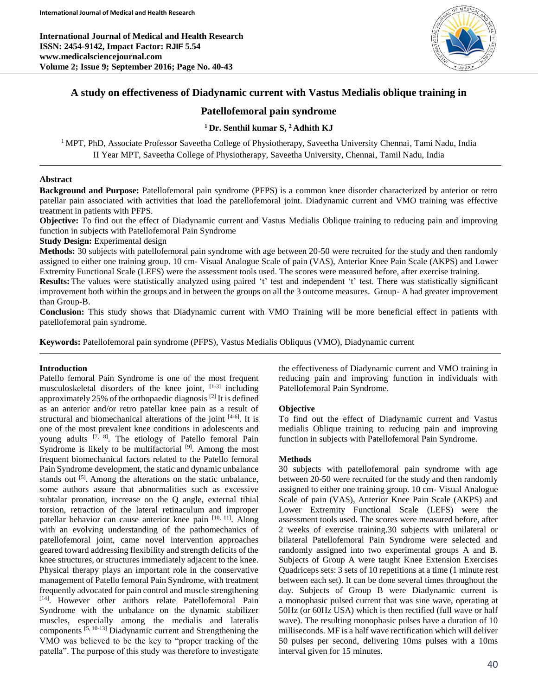**International Journal of Medical and Health Research ISSN: 2454-9142, Impact Factor: RJIF 5.54 www.medicalsciencejournal.com Volume 2; Issue 9; September 2016; Page No. 40-43**



# **A study on effectiveness of Diadynamic current with Vastus Medialis oblique training in**

# **Patellofemoral pain syndrome**

# **<sup>1</sup>Dr. Senthil kumar S, <sup>2</sup>Adhith KJ**

<sup>1</sup> MPT, PhD, Associate Professor Saveetha College of Physiotherapy, Saveetha University Chennai, Tami Nadu, India II Year MPT, Saveetha College of Physiotherapy, Saveetha University, Chennai, Tamil Nadu, India

## **Abstract**

**Background and Purpose:** Patellofemoral pain syndrome (PFPS) is a common knee disorder characterized by anterior or retro patellar pain associated with activities that load the patellofemoral joint. Diadynamic current and VMO training was effective treatment in patients with PFPS.

**Objective:** To find out the effect of Diadynamic current and Vastus Medialis Oblique training to reducing pain and improving function in subjects with Patellofemoral Pain Syndrome

**Study Design:** Experimental design

**Methods:** 30 subjects with patellofemoral pain syndrome with age between 20-50 were recruited for the study and then randomly assigned to either one training group. 10 cm- Visual Analogue Scale of pain (VAS), Anterior Knee Pain Scale (AKPS) and Lower Extremity Functional Scale (LEFS) were the assessment tools used. The scores were measured before, after exercise training.

**Results:** The values were statistically analyzed using paired 't' test and independent 't' test. There was statistically significant improvement both within the groups and in between the groups on all the 3 outcome measures. Group- A had greater improvement than Group-B.

**Conclusion:** This study shows that Diadynamic current with VMO Training will be more beneficial effect in patients with patellofemoral pain syndrome.

**Keywords:** Patellofemoral pain syndrome (PFPS), Vastus Medialis Obliquus (VMO), Diadynamic current

# **Introduction**

Patello femoral Pain Syndrome is one of the most frequent musculoskeletal disorders of the knee joint, [1-3] including approximately 25% of the orthopaedic diagnosis<sup>[2]</sup> It is defined as an anterior and/or retro patellar knee pain as a result of structural and biomechanical alterations of the joint [4-6]. It is one of the most prevalent knee conditions in adolescents and young adults <sup>[7, 8]</sup>. The etiology of Patello femoral Pain Syndrome is likely to be multifactorial <sup>[9]</sup>. Among the most frequent biomechanical factors related to the Patello femoral Pain Syndrome development, the static and dynamic unbalance stands out <sup>[5]</sup>. Among the alterations on the static unbalance, some authors assure that abnormalities such as excessive subtalar pronation, increase on the Q angle, external tibial torsion, retraction of the lateral retinaculum and improper patellar behavior can cause anterior knee pain [10, 11]. Along with an evolving understanding of the pathomechanics of patellofemoral joint, came novel intervention approaches geared toward addressing flexibility and strength deficits of the knee structures, or structures immediately adjacent to the knee. Physical therapy plays an important role in the conservative management of Patello femoral Pain Syndrome, with treatment frequently advocated for pain control and muscle strengthening [14] . However other authors relate Patellofemoral Pain Syndrome with the unbalance on the dynamic stabilizer muscles, especially among the medialis and lateralis components [5, 10-13] Diadynamic current and Strengthening the VMO was believed to be the key to "proper tracking of the patella". The purpose of this study was therefore to investigate

the effectiveness of Diadynamic current and VMO training in reducing pain and improving function in individuals with Patellofemoral Pain Syndrome.

## **Objective**

To find out the effect of Diadynamic current and Vastus medialis Oblique training to reducing pain and improving function in subjects with Patellofemoral Pain Syndrome.

## **Methods**

30 subjects with patellofemoral pain syndrome with age between 20-50 were recruited for the study and then randomly assigned to either one training group. 10 cm- Visual Analogue Scale of pain (VAS), Anterior Knee Pain Scale (AKPS) and Lower Extremity Functional Scale (LEFS) were the assessment tools used. The scores were measured before, after 2 weeks of exercise training.30 subjects with unilateral or bilateral Patellofemoral Pain Syndrome were selected and randomly assigned into two experimental groups A and B. Subjects of Group A were taught Knee Extension Exercises Quadriceps sets: 3 sets of 10 repetitions at a time (1 minute rest between each set). It can be done several times throughout the day. Subjects of Group B were Diadynamic current is a monophasic pulsed current that was sine wave, operating at 50Hz (or 60Hz USA) which is then rectified (full wave or half wave). The resulting monophasic pulses have a duration of 10 milliseconds. MF is a half wave rectification which will deliver 50 pulses per second, delivering 10ms pulses with a 10ms interval given for 15 minutes.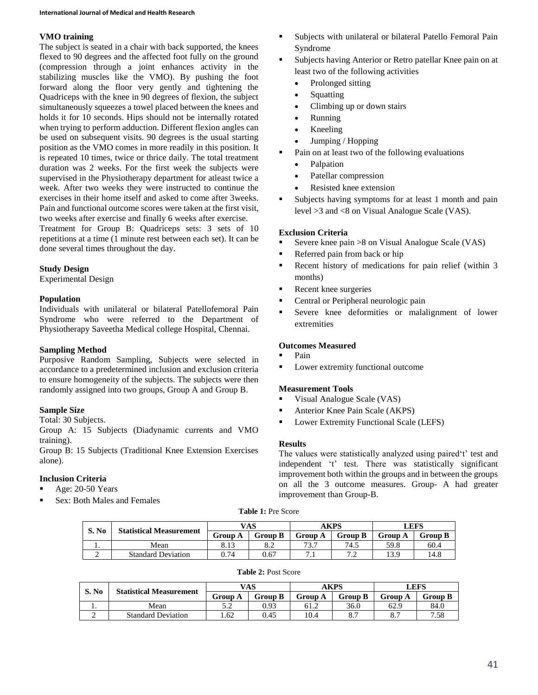# **VMO training**

The subject is seated in a chair with back supported, the knees flexed to 90 degrees and the affected foot fully on the ground (compression through a joint enhances activity in the stabilizing muscles like the VMO). By pushing the foot forward along the floor very gently and tightening the Quadriceps with the knee in 90 degrees of flexion, the subject simultaneously squeezes a towel placed between the knees and holds it for 10 seconds. Hips should not be internally rotated when trying to perform adduction. Different flexion angles can be used on subsequent visits. 90 degrees is the usual starting position as the VMO comes in more readily in this position. It is repeated 10 times, twice or thrice daily. The total treatment duration was 2 weeks. For the first week the subjects were supervised in the Physiotherapy department for atleast twice a week. After two weeks they were instructed to continue the exercises in their home itself and asked to come after 3weeks. Pain and functional outcome scores were taken at the first visit, two weeks after exercise and finally 6 weeks after exercise.

Treatment for Group B: Quadriceps sets: 3 sets of 10 repetitions at a time (1 minute rest between each set). It can be done several times throughout the day.

# **Study Design**

Experimental Design

## **Population**

Individuals with unilateral or bilateral Patellofemoral Pain Syndrome who were referred to the Department of Physiotherapy Saveetha Medical college Hospital, Chennai.

## **Sampling Method**

Purposive Random Sampling, Subjects were selected in accordance to a predetermined inclusion and exclusion criteria to ensure homogeneity of the subjects. The subjects were then randomly assigned into two groups, Group A and Group B.

# **Sample Size**

Total: 30 Subjects.

Group A: 15 Subjects (Diadynamic currents and VMO training).

Group B: 15 Subjects (Traditional Knee Extension Exercises alone).

# **Inclusion Criteria**

- Age: 20-50 Years
- Sex: Both Males and Females
- Subjects with unilateral or bilateral Patello Femoral Pain Syndrome
- Subjects having Anterior or Retro patellar Knee pain on at least two of the following activities
	- Prolonged sitting
	- **Squatting**
	- Climbing up or down stairs
	- Running
	- Kneeling
	- Jumping / Hopping
- Pain on at least two of the following evaluations
	- Palpation
	- Patellar compression
	- Resisted knee extension
- Subjects having symptoms for at least 1 month and pain level >3 and <8 on Visual Analogue Scale (VAS).

## **Exclusion Criteria**

- Severe knee pain >8 on Visual Analogue Scale (VAS)
- Referred pain from back or hip
- Recent history of medications for pain relief (within 3 months)
- Recent knee surgeries
- Central or Peripheral neurologic pain
- Severe knee deformities or malalignment of lower extremities

## **Outcomes Measured**

- Pain
- **Lower extremity functional outcome**

## **Measurement Tools**

- Visual Analogue Scale (VAS)
- Anterior Knee Pain Scale (AKPS)
- Lower Extremity Functional Scale (LEFS)

## **Results**

The values were statistically analyzed using paired't' test and independent 't' test. There was statistically significant improvement both within the groups and in between the groups on all the 3 outcome measures. Group- A had greater improvement than Group-B.

### **Table 1:** Pre Score

| S. No | <b>Statistical Measurement</b> | VAS     |                             | AKPS           |                | LEFS           |         |
|-------|--------------------------------|---------|-----------------------------|----------------|----------------|----------------|---------|
|       |                                | Group A | <b>Group B</b>              | <b>Group A</b> | <b>Group B</b> | <b>Group A</b> | Group B |
| . .   | Mean                           |         | $\mathbf{o}$ . $\mathbf{v}$ | 727<br>ر. د    | 74.5           | 59.8           | 60.4    |
|       | <b>Standard Deviation</b>      | 0.74    | 0.67                        | . .            | .              | 13.9           | 14.8    |

#### **Table 2:** Post Score

| S. No | <b>Statistical Measurement</b> | VAS     |         | AKPS    |                     | LEFS    |         |
|-------|--------------------------------|---------|---------|---------|---------------------|---------|---------|
|       |                                | Group A | Group B | Group A | <b>Group B</b>      | Group A | Group B |
| . .   | Mean                           | ے . ۔   | 0.93    | 61.2    | 36.0                | 62.9    | 84.0    |
|       | <b>Standard Deviation</b>      | .62     | 0.45    | 10.4    | $^{\circ}$ 7<br>o., | o.,     | 7.58    |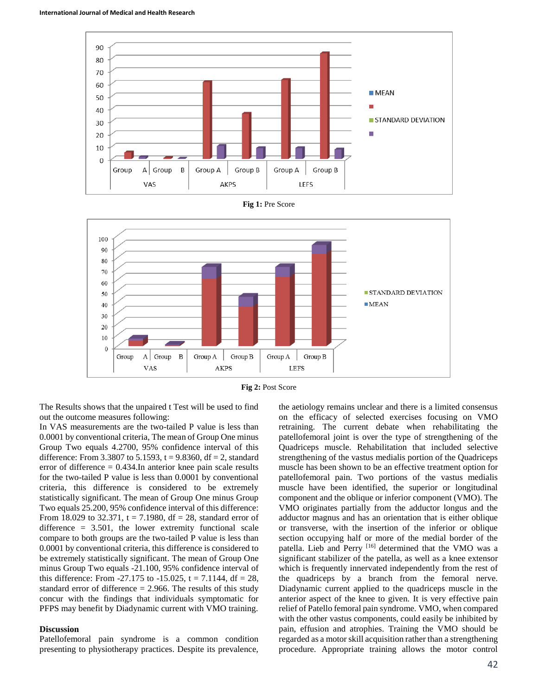





**Fig 2:** Post Score

The Results shows that the unpaired t Test will be used to find out the outcome measures following:

In VAS measurements are the two-tailed P value is less than 0.0001 by conventional criteria, The mean of Group One minus Group Two equals 4.2700, 95% confidence interval of this difference: From 3.3807 to 5.1593,  $t = 9.8360$ , df = 2, standard error of difference  $= 0.434$ . In anterior knee pain scale results for the two-tailed P value is less than 0.0001 by conventional criteria, this difference is considered to be extremely statistically significant. The mean of Group One minus Group Two equals 25.200, 95% confidence interval of this difference: From 18.029 to 32.371,  $t = 7.1980$ ,  $df = 28$ , standard error of difference  $= 3.501$ , the lower extremity functional scale compare to both groups are the two-tailed P value is less than 0.0001 by conventional criteria, this difference is considered to be extremely statistically significant. The mean of Group One minus Group Two equals -21.100, 95% confidence interval of this difference: From  $-27.175$  to  $-15.025$ , t = 7.1144, df = 28, standard error of difference  $= 2.966$ . The results of this study concur with the findings that individuals symptomatic for PFPS may benefit by Diadynamic current with VMO training.

#### **Discussion**

Patellofemoral pain syndrome is a common condition presenting to physiotherapy practices. Despite its prevalence,

the aetiology remains unclear and there is a limited consensus on the efficacy of selected exercises focusing on VMO retraining. The current debate when rehabilitating the patellofemoral joint is over the type of strengthening of the Quadriceps muscle. Rehabilitation that included selective strengthening of the vastus medialis portion of the Quadriceps muscle has been shown to be an effective treatment option for patellofemoral pain. Two portions of the vastus medialis muscle have been identified, the superior or longitudinal component and the oblique or inferior component (VMO). The VMO originates partially from the adductor longus and the adductor magnus and has an orientation that is either oblique or transverse, with the insertion of the inferior or oblique section occupying half or more of the medial border of the patella. Lieb and Perry [16] determined that the VMO was a significant stabilizer of the patella, as well as a knee extensor which is frequently innervated independently from the rest of the quadriceps by a branch from the femoral nerve. Diadynamic current applied to the quadriceps muscle in the anterior aspect of the knee to given. It is very effective pain relief of Patello femoral pain syndrome. VMO, when compared with the other vastus components, could easily be inhibited by pain, effusion and atrophies. Training the VMO should be regarded as a motor skill acquisition rather than a strengthening procedure. Appropriate training allows the motor control